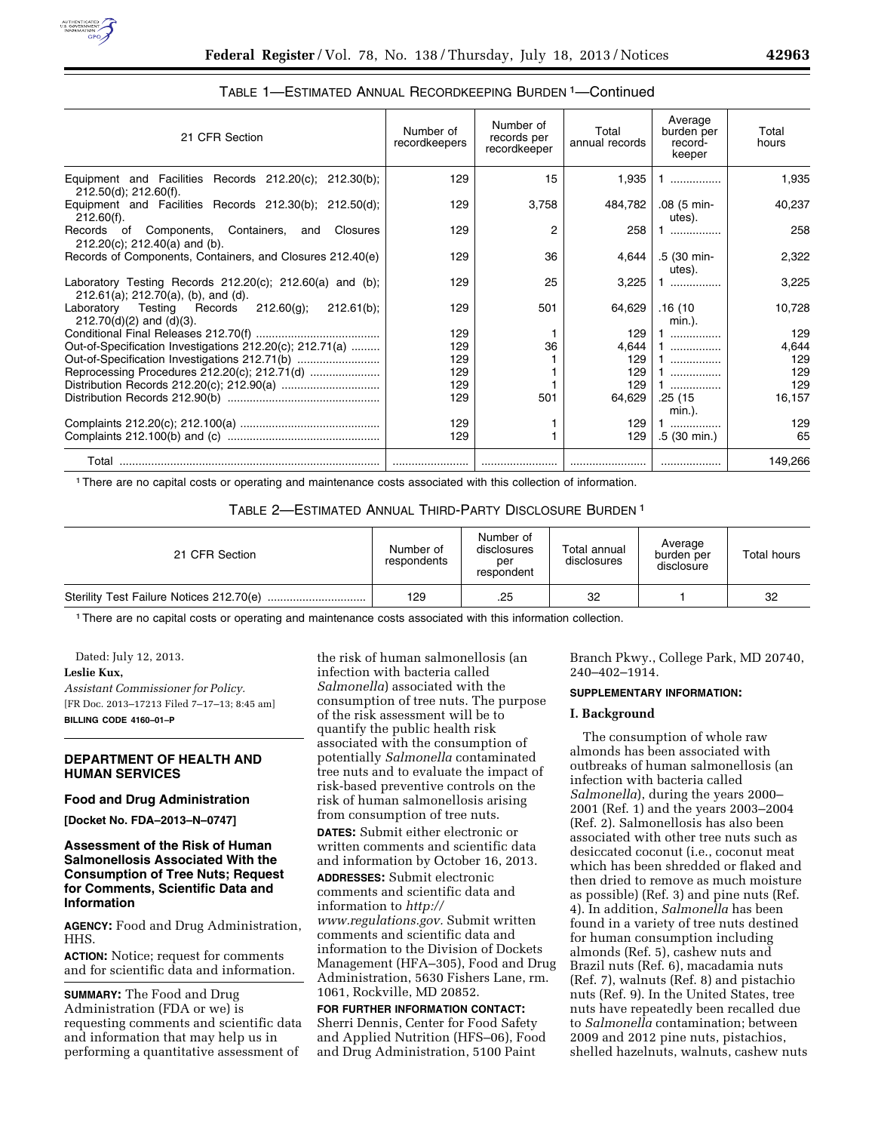

| TABLE 1—ESTIMATED ANNUAL RECORDKEEPING BURDEN 1—Continued |  |
|-----------------------------------------------------------|--|
|-----------------------------------------------------------|--|

| 21 CFR Section                                                                                             | Number of<br>recordkeepers | Number of<br>records per<br>recordkeeper | Total<br>annual records | Average<br>burden per<br>record-<br>keeper | Total<br>hours |
|------------------------------------------------------------------------------------------------------------|----------------------------|------------------------------------------|-------------------------|--------------------------------------------|----------------|
| Equipment and Facilities Records 212.20(c); 212.30(b);<br>212.50(d); 212.60(f).                            | 129                        | 15                                       | 1,935                   | .                                          | 1,935          |
| Equipment and Facilities Records 212.30(b); 212.50(d);<br>$212.60(f)$ .                                    | 129                        | 3,758                                    | 484,782                 | .08 (5 min-<br>utes).                      | 40,237         |
| Records of<br>Components, Containers,<br>Closures<br>and<br>$212.20(c)$ ; 212.40(a) and (b).               | 129                        | 2                                        | 258                     | .                                          | 258            |
| Records of Components, Containers, and Closures 212.40(e)                                                  | 129                        | 36                                       | 4.644                   | .5 (30 min-<br>utes).                      | 2,322          |
| Laboratory Testing Records $212.20(c)$ ; $212.60(a)$ and (b);<br>$212.61(a)$ ; $212.70(a)$ , (b), and (d). | 129                        | 25                                       | 3.225                   | .                                          | 3,225          |
| Testing Records $212.60(q)$ ;<br>Laboratory<br>$212.61(b)$ :<br>$212.70(d)(2)$ and $(d)(3)$ .              | 129                        | 501                                      | 64,629                  | .16 (10<br>$min.$ ).                       | 10,728         |
|                                                                                                            | 129                        |                                          | 129                     | .                                          | 129            |
| Out-of-Specification Investigations 212.20(c); 212.71(a)                                                   | 129                        | 36                                       | 4.644                   | .                                          | 4,644          |
| Out-of-Specification Investigations 212.71(b)                                                              | 129                        |                                          | 129                     |                                            | 129            |
| Reprocessing Procedures 212.20(c); 212.71(d)                                                               | 129                        |                                          | 129                     | .                                          | 129            |
|                                                                                                            | 129                        |                                          | 129                     | .                                          | 129            |
|                                                                                                            | 129                        | 501                                      | 64,629                  | .25 (15                                    | 16,157         |
|                                                                                                            |                            |                                          |                         | min.).                                     |                |
|                                                                                                            | 129<br>129                 |                                          | 129<br>129              | .<br>.5 (30 min.)                          | 129<br>65      |
| Total                                                                                                      |                            |                                          |                         |                                            | 149,266        |

1There are no capital costs or operating and maintenance costs associated with this collection of information.

# TABLE 2—ESTIMATED ANNUAL THIRD-PARTY DISCLOSURE BURDEN 1

| 21 CFR Section | Number of<br>respondents | Number of<br>disclosures<br>per<br>respondent | Total annual<br>disclosures | Average<br>burden per<br>disclosure | Total hours |
|----------------|--------------------------|-----------------------------------------------|-----------------------------|-------------------------------------|-------------|
|                | 129                      | .25                                           | 32                          |                                     | 32          |

1There are no capital costs or operating and maintenance costs associated with this information collection.

Dated: July 12, 2013.

## **Leslie Kux,**

*Assistant Commissioner for Policy.*  [FR Doc. 2013–17213 Filed 7–17–13; 8:45 am] **BILLING CODE 4160–01–P** 

# **DEPARTMENT OF HEALTH AND HUMAN SERVICES**

# **Food and Drug Administration**

**[Docket No. FDA–2013–N–0747]** 

# **Assessment of the Risk of Human Salmonellosis Associated With the Consumption of Tree Nuts; Request for Comments, Scientific Data and Information**

**AGENCY:** Food and Drug Administration, HHS.

**ACTION:** Notice; request for comments and for scientific data and information.

**SUMMARY:** The Food and Drug Administration (FDA or we) is requesting comments and scientific data and information that may help us in performing a quantitative assessment of

the risk of human salmonellosis (an infection with bacteria called *Salmonella*) associated with the consumption of tree nuts. The purpose of the risk assessment will be to quantify the public health risk associated with the consumption of potentially *Salmonella* contaminated tree nuts and to evaluate the impact of risk-based preventive controls on the risk of human salmonellosis arising from consumption of tree nuts.

**DATES:** Submit either electronic or written comments and scientific data and information by October 16, 2013.

**ADDRESSES:** Submit electronic comments and scientific data and information to *[http://](http://www.regulations.gov) [www.regulations.gov.](http://www.regulations.gov)* Submit written comments and scientific data and information to the Division of Dockets Management (HFA–305), Food and Drug Administration, 5630 Fishers Lane, rm. 1061, Rockville, MD 20852.

#### **FOR FURTHER INFORMATION CONTACT:**

Sherri Dennis, Center for Food Safety and Applied Nutrition (HFS–06), Food and Drug Administration, 5100 Paint

Branch Pkwy., College Park, MD 20740, 240–402–1914.

#### **SUPPLEMENTARY INFORMATION:**

## **I. Background**

The consumption of whole raw almonds has been associated with outbreaks of human salmonellosis (an infection with bacteria called *Salmonella*), during the years 2000– 2001 (Ref. 1) and the years 2003–2004 (Ref. 2). Salmonellosis has also been associated with other tree nuts such as desiccated coconut (i.e., coconut meat which has been shredded or flaked and then dried to remove as much moisture as possible) (Ref. 3) and pine nuts (Ref. 4). In addition, *Salmonella* has been found in a variety of tree nuts destined for human consumption including almonds (Ref. 5), cashew nuts and Brazil nuts (Ref. 6), macadamia nuts (Ref. 7), walnuts (Ref. 8) and pistachio nuts (Ref. 9). In the United States, tree nuts have repeatedly been recalled due to *Salmonella* contamination; between 2009 and 2012 pine nuts, pistachios, shelled hazelnuts, walnuts, cashew nuts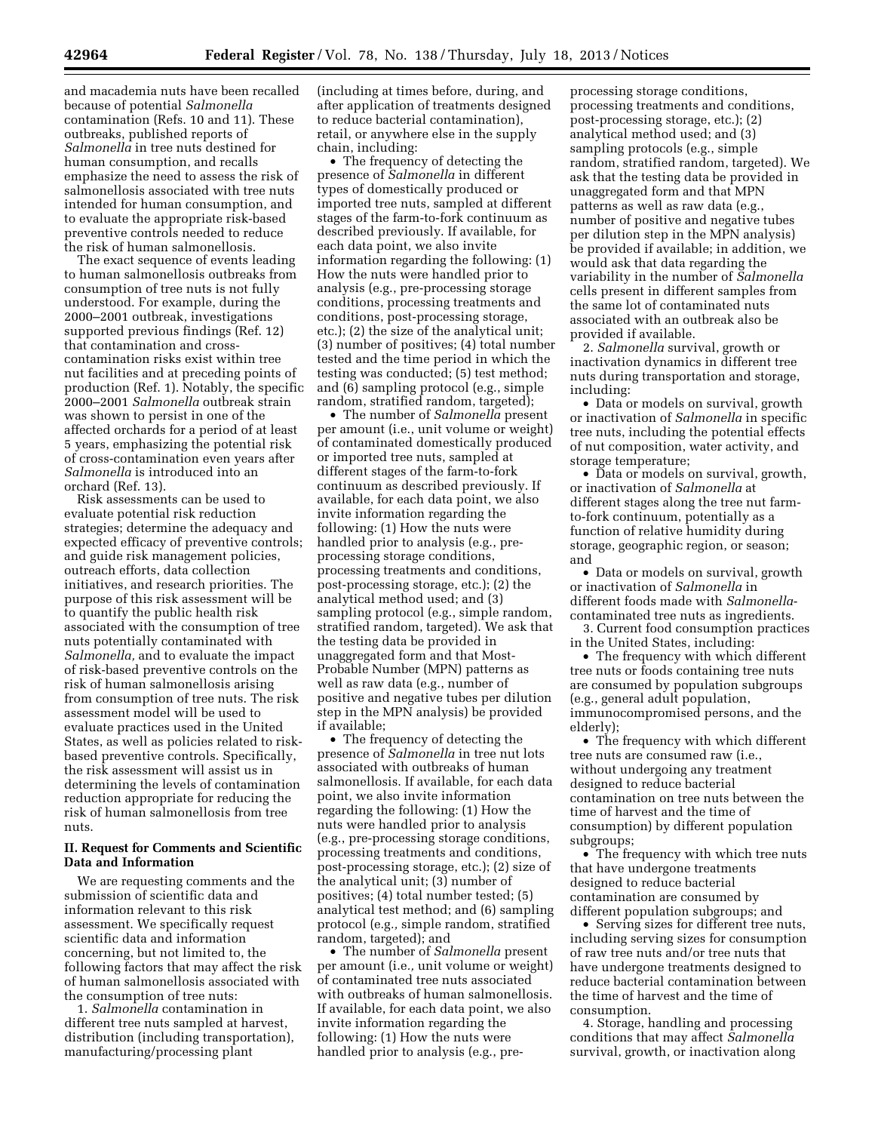and macademia nuts have been recalled because of potential *Salmonella*  contamination (Refs. 10 and 11). These outbreaks, published reports of *Salmonella* in tree nuts destined for human consumption, and recalls emphasize the need to assess the risk of salmonellosis associated with tree nuts intended for human consumption, and to evaluate the appropriate risk-based preventive controls needed to reduce the risk of human salmonellosis.

The exact sequence of events leading to human salmonellosis outbreaks from consumption of tree nuts is not fully understood. For example, during the 2000–2001 outbreak, investigations supported previous findings (Ref. 12) that contamination and crosscontamination risks exist within tree nut facilities and at preceding points of production (Ref. 1). Notably, the specific 2000–2001 *Salmonella* outbreak strain was shown to persist in one of the affected orchards for a period of at least 5 years, emphasizing the potential risk of cross-contamination even years after *Salmonella* is introduced into an orchard (Ref. 13).

Risk assessments can be used to evaluate potential risk reduction strategies; determine the adequacy and expected efficacy of preventive controls; and guide risk management policies, outreach efforts, data collection initiatives, and research priorities. The purpose of this risk assessment will be to quantify the public health risk associated with the consumption of tree nuts potentially contaminated with *Salmonella,* and to evaluate the impact of risk-based preventive controls on the risk of human salmonellosis arising from consumption of tree nuts. The risk assessment model will be used to evaluate practices used in the United States, as well as policies related to riskbased preventive controls. Specifically, the risk assessment will assist us in determining the levels of contamination reduction appropriate for reducing the risk of human salmonellosis from tree nuts.

# **II. Request for Comments and Scientific Data and Information**

We are requesting comments and the submission of scientific data and information relevant to this risk assessment. We specifically request scientific data and information concerning, but not limited to, the following factors that may affect the risk of human salmonellosis associated with the consumption of tree nuts:

1. *Salmonella* contamination in different tree nuts sampled at harvest, distribution (including transportation), manufacturing/processing plant

(including at times before, during, and after application of treatments designed to reduce bacterial contamination), retail, or anywhere else in the supply chain, including:

• The frequency of detecting the presence of *Salmonella* in different types of domestically produced or imported tree nuts, sampled at different stages of the farm-to-fork continuum as described previously. If available, for each data point, we also invite information regarding the following: (1) How the nuts were handled prior to analysis (e.g., pre-processing storage conditions, processing treatments and conditions, post-processing storage, etc.); (2) the size of the analytical unit; (3) number of positives; (4) total number tested and the time period in which the testing was conducted; (5) test method; and (6) sampling protocol (e.g., simple random, stratified random, targeted);

• The number of *Salmonella* present per amount (i.e., unit volume or weight) of contaminated domestically produced or imported tree nuts, sampled at different stages of the farm-to-fork continuum as described previously. If available, for each data point, we also invite information regarding the following: (1) How the nuts were handled prior to analysis (e.g., preprocessing storage conditions, processing treatments and conditions, post-processing storage, etc.); (2) the analytical method used; and (3) sampling protocol (e.g., simple random, stratified random, targeted). We ask that the testing data be provided in unaggregated form and that Most-Probable Number (MPN) patterns as well as raw data (e.g., number of positive and negative tubes per dilution step in the MPN analysis) be provided if available;

• The frequency of detecting the presence of *Salmonella* in tree nut lots associated with outbreaks of human salmonellosis. If available, for each data point, we also invite information regarding the following: (1) How the nuts were handled prior to analysis (e.g., pre-processing storage conditions, processing treatments and conditions, post-processing storage, etc.); (2) size of the analytical unit; (3) number of positives; (4) total number tested; (5) analytical test method; and (6) sampling protocol (e.g*.,* simple random, stratified random, targeted); and

• The number of *Salmonella* present per amount (i.e*.,* unit volume or weight) of contaminated tree nuts associated with outbreaks of human salmonellosis. If available, for each data point, we also invite information regarding the following: (1) How the nuts were handled prior to analysis (e.g., pre-

processing storage conditions, processing treatments and conditions, post-processing storage, etc.); (2) analytical method used; and (3) sampling protocols (e.g., simple random, stratified random, targeted). We ask that the testing data be provided in unaggregated form and that MPN patterns as well as raw data (e.g., number of positive and negative tubes per dilution step in the MPN analysis) be provided if available; in addition, we would ask that data regarding the variability in the number of *Salmonella*  cells present in different samples from the same lot of contaminated nuts associated with an outbreak also be provided if available.

2. *Salmonella* survival, growth or inactivation dynamics in different tree nuts during transportation and storage, including:

• Data or models on survival, growth or inactivation of *Salmonella* in specific tree nuts, including the potential effects of nut composition, water activity, and storage temperature;

• Data or models on survival, growth, or inactivation of *Salmonella* at different stages along the tree nut farmto-fork continuum, potentially as a function of relative humidity during storage, geographic region, or season; and

• Data or models on survival, growth or inactivation of *Salmonella* in different foods made with *Salmonella*contaminated tree nuts as ingredients.

3. Current food consumption practices in the United States, including:

• The frequency with which different tree nuts or foods containing tree nuts are consumed by population subgroups (e.g., general adult population, immunocompromised persons, and the elderly);

• The frequency with which different tree nuts are consumed raw (i.e., without undergoing any treatment designed to reduce bacterial contamination on tree nuts between the time of harvest and the time of consumption) by different population subgroups;

• The frequency with which tree nuts that have undergone treatments designed to reduce bacterial contamination are consumed by different population subgroups; and

• Serving sizes for different tree nuts, including serving sizes for consumption of raw tree nuts and/or tree nuts that have undergone treatments designed to reduce bacterial contamination between the time of harvest and the time of consumption.

4. Storage, handling and processing conditions that may affect *Salmonella*  survival, growth, or inactivation along